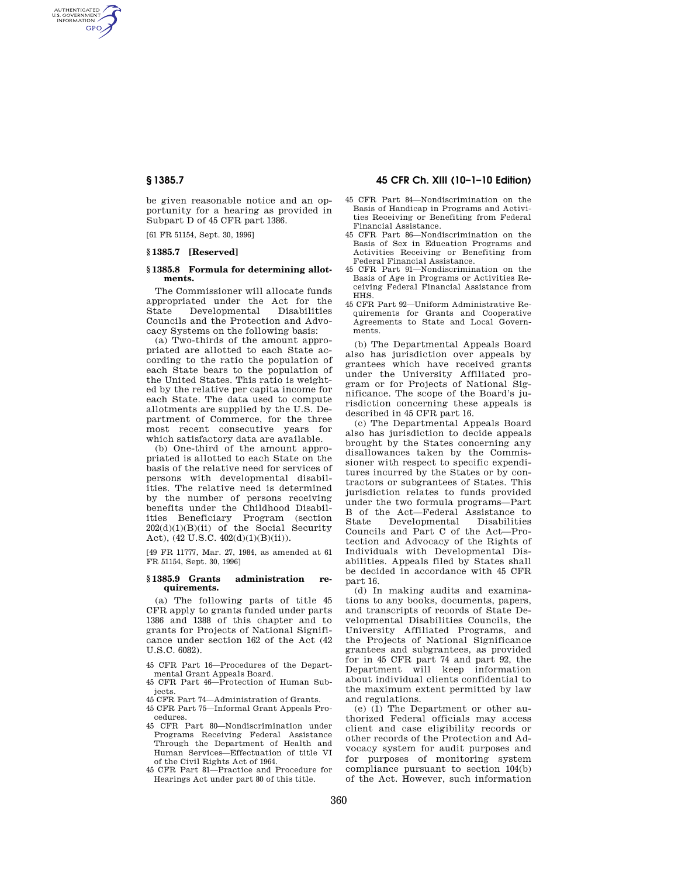AUTHENTICATED<br>U.S. GOVERNMENT<br>INFORMATION **GPO** 

> be given reasonable notice and an opportunity for a hearing as provided in Subpart D of 45 CFR part 1386.

[61 FR 51154, Sept. 30, 1996]

### **§ 1385.7 [Reserved]**

# **§ 1385.8 Formula for determining allotments.**

The Commissioner will allocate funds appropriated under the Act for the State Developmental Councils and the Protection and Advocacy Systems on the following basis:

(a) Two-thirds of the amount appropriated are allotted to each State according to the ratio the population of each State bears to the population of the United States. This ratio is weighted by the relative per capita income for each State. The data used to compute allotments are supplied by the U.S. Department of Commerce, for the three most recent consecutive years for which satisfactory data are available.

(b) One-third of the amount appropriated is allotted to each State on the basis of the relative need for services of persons with developmental disabilities. The relative need is determined by the number of persons receiving benefits under the Childhood Disabilities Beneficiary Program (section 202(d)(1)(B)(ii) of the Social Security Act), (42 U.S.C. 402(d)(1)(B)(ii)).

[49 FR 11777, Mar. 27, 1984, as amended at 61 FR 51154, Sept. 30, 1996]

#### **§ 1385.9 Grants administration requirements.**

(a) The following parts of title 45 CFR apply to grants funded under parts 1386 and 1388 of this chapter and to grants for Projects of National Significance under section 162 of the Act (42 U.S.C. 6082).

45 CFR Part 16—Procedures of the Depart-

- mental Grant Appeals Board. 45 CFR Part 46—Protection of Human Subjects.
- 45 CFR Part 74—Administration of Grants.
- 45 CFR Part 75—Informal Grant Appeals Procedures.
- 45 CFR Part 80—Nondiscrimination under Programs Receiving Federal Assistance Through the Department of Health and Human Services—Effectuation of title VI of the Civil Rights Act of 1964.
- 45 CFR Part 81—Practice and Procedure for Hearings Act under part 80 of this title.

# **§ 1385.7 45 CFR Ch. XIII (10–1–10 Edition)**

- 45 CFR Part 84—Nondiscrimination on the Basis of Handicap in Programs and Activities Receiving or Benefiting from Federal Financial Assistance.
- 45 CFR Part 86—Nondiscrimination on the Basis of Sex in Education Programs and Activities Receiving or Benefiting from Federal Financial Assistance.
- 45 CFR Part 91—Nondiscrimination on the Basis of Age in Programs or Activities Receiving Federal Financial Assistance from HHS.
- 45 CFR Part 92—Uniform Administrative Requirements for Grants and Cooperative Agreements to State and Local Governments.

(b) The Departmental Appeals Board also has jurisdiction over appeals by grantees which have received grants under the University Affiliated program or for Projects of National Significance. The scope of the Board's jurisdiction concerning these appeals is described in 45 CFR part 16.

(c) The Departmental Appeals Board also has jurisdiction to decide appeals brought by the States concerning any disallowances taken by the Commissioner with respect to specific expenditures incurred by the States or by contractors or subgrantees of States. This jurisdiction relates to funds provided under the two formula programs—Part B of the Act—Federal Assistance to State Developmental Councils and Part C of the Act—Protection and Advocacy of the Rights of Individuals with Developmental Disabilities. Appeals filed by States shall be decided in accordance with 45 CFR part 16.

(d) In making audits and examinations to any books, documents, papers, and transcripts of records of State Developmental Disabilities Councils, the University Affiliated Programs, and the Projects of National Significance grantees and subgrantees, as provided for in 45 CFR part 74 and part 92, the Department will keep information about individual clients confidential to the maximum extent permitted by law and regulations.

(e) (1) The Department or other authorized Federal officials may access client and case eligibility records or other records of the Protection and Advocacy system for audit purposes and for purposes of monitoring system compliance pursuant to section 104(b) of the Act. However, such information